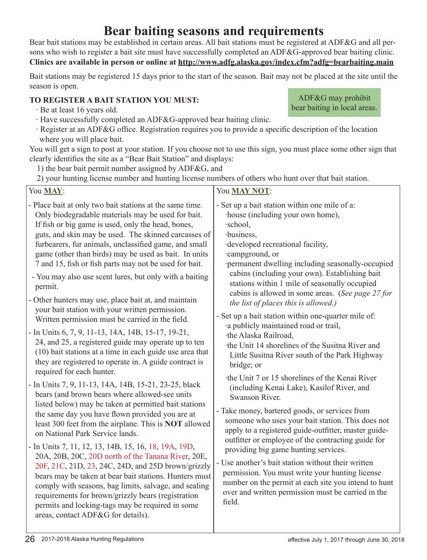# **Bear baiting seasons and requirements**

Bear bait stations may be established in certain areas. All bait stations must be registered at ADF&G and all persons who wish to register a bait site must have successfully completed an ADF&G-approved bear baiting clinic. **Clinics are available in person or online at http://www.adfg.alaska.gov/index.cfm?adfg=bearbaiting.main**

Bait stations may be registered 15 days prior to the start of the season. Bait may not be placed at the site until the season is open.

## **TO REGISTER A BAIT STATION YOU MUST:**

- ∙ Be at least 16 years old.
- ∙ Have successfully completed an ADF&G-approved bear baiting clinic.
- ∙ Register at an ADF&G office. Registration requires you to provide a specific description of the location where you will place bait.

You will get a sign to post at your station. If you choose not to use this sign, you must place some other sign that clearly identifies the site as a "Bear Bait Station" and displays:

1) the bear bait permit number assigned by ADF&G, and

2) your hunting license number and hunting license numbers of others who hunt over that bait station.

| You MAY:                                                                                                                                                                                                                                                                                                                                                                                                                                                                                                                                                                                                                                                                                                                                                                                                                                                                                                                                                                                                                                                                                                                                                                                                                                                                                                                                                                                                                                                                                                                                                                                                                                                                        | You <b>MAY NOT</b> :                                                                                                                                                                                                                                                                                                                                                                                                                                                                                                                                                                                                                                                                                                                                                                                                                                                                                                                                                                                                                                                                                                                                                                                                                                                            |
|---------------------------------------------------------------------------------------------------------------------------------------------------------------------------------------------------------------------------------------------------------------------------------------------------------------------------------------------------------------------------------------------------------------------------------------------------------------------------------------------------------------------------------------------------------------------------------------------------------------------------------------------------------------------------------------------------------------------------------------------------------------------------------------------------------------------------------------------------------------------------------------------------------------------------------------------------------------------------------------------------------------------------------------------------------------------------------------------------------------------------------------------------------------------------------------------------------------------------------------------------------------------------------------------------------------------------------------------------------------------------------------------------------------------------------------------------------------------------------------------------------------------------------------------------------------------------------------------------------------------------------------------------------------------------------|---------------------------------------------------------------------------------------------------------------------------------------------------------------------------------------------------------------------------------------------------------------------------------------------------------------------------------------------------------------------------------------------------------------------------------------------------------------------------------------------------------------------------------------------------------------------------------------------------------------------------------------------------------------------------------------------------------------------------------------------------------------------------------------------------------------------------------------------------------------------------------------------------------------------------------------------------------------------------------------------------------------------------------------------------------------------------------------------------------------------------------------------------------------------------------------------------------------------------------------------------------------------------------|
| - Place bait at only two bait stations at the same time.<br>Only biodegradable materials may be used for bait.<br>If fish or big game is used, only the head, bones,<br>guts, and skin may be used. The skinned carcasses of<br>furbearers, fur animals, unclassified game, and small<br>game (other than birds) may be used as bait. In units<br>7 and 15, fish or fish parts may not be used for bait.<br>- You may also use scent lures, but only with a baiting<br>permit.<br>- Other hunters may use, place bait at, and maintain<br>your bait station with your written permission.<br>Written permission must be carried in the field.<br>- In Units 6, 7, 9, 11-13, 14A, 14B, 15-17, 19-21,<br>24, and 25, a registered guide may operate up to ten<br>(10) bait stations at a time in each guide use area that<br>they are registered to operate in. A guide contract is<br>required for each hunter.<br>- In Units 7, 9, 11-13, 14A, 14B, 15-21, 23-25, black<br>bears (and brown bears where allowed-see units<br>listed below) may be taken at permitted bait stations<br>the same day you have flown provided you are at<br>least 300 feet from the airplane. This is <b>NOT</b> allowed<br>on National Park Service lands.<br>- In Units 7, 11, 12, 13, 14B, 15, 16, 18, 19A, 19D,<br>20A, 20B, 20C, 20D north of the Tanana River, 20E,<br>20F, 21C, 21D, 23, 24C, 24D, and 25D brown/grizzly<br>bears may be taken at bear bait stations. Hunters must<br>comply with seasons, bag limits, salvage, and sealing<br>requirements for brown/grizzly bears (registration<br>permits and locking-tags may be required in some<br>areas, contact ADF&G for details). | - Set up a bait station within one mile of a:<br>house (including your own home),<br>·school,<br>·business,<br>developed recreational facility,<br>campground, or<br>permanent dwelling including seasonally-occupied<br>cabins (including your own). Establishing bait<br>stations within 1 mile of seasonally occupied<br>cabins is allowed in some areas. (See page 27 for<br>the list of places this is allowed.)<br>- Set up a bait station within one-quarter mile of:<br>a publicly maintained road or trail,<br>the Alaska Railroad,<br>the Unit 14 shorelines of the Susitna River and<br>Little Susitna River south of the Park Highway<br>bridge; or<br>the Unit 7 or 15 shorelines of the Kenai River<br>(including Kenai Lake), Kasilof River, and<br>Swanson River.<br>- Take money, bartered goods, or services from<br>someone who uses your bait station. This does not<br>apply to a registered guide-outfitter, master guide-<br>outfitter or employee of the contracting guide for<br>providing big game hunting services.<br>- Use another's bait station without their written<br>permission. You must write your hunting license<br>number on the permit at each site you intend to hunt<br>over and written permission must be carried in the<br>field. |

ADF&G may prohibit bear baiting in local areas.